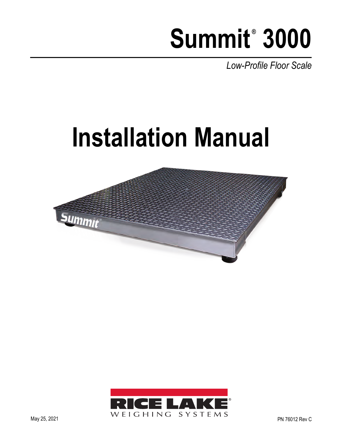# Summit<sup>®</sup> 3000

*Low-Profile Floor Scale*

# **Installation Manual**



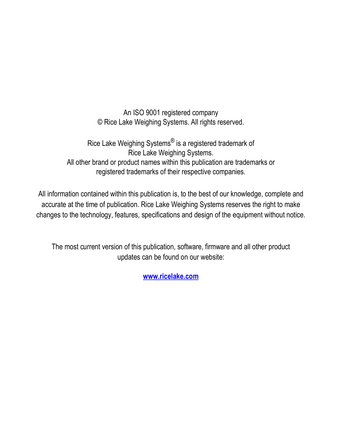An ISO 9001 registered company © Rice Lake Weighing Systems. All rights reserved.

Rice Lake Weighing Systems<sup>®</sup> is a registered trademark of Rice Lake Weighing Systems. All other brand or product names within this publication are trademarks or registered trademarks of their respective companies.

All information contained within this publication is, to the best of our knowledge, complete and accurate at the time of publication. Rice Lake Weighing Systems reserves the right to make changes to the technology, features, specifications and design of the equipment without notice.

The most current version of this publication, software, firmware and all other product updates can be found on our website:

**[www.ricelake.com](https://www.ricelake.com/en-us/)**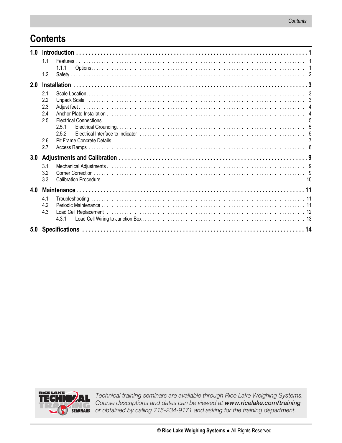# **Contents**

| 1.0 |            |                |  |  |  |  |
|-----|------------|----------------|--|--|--|--|
|     | 1.1<br>1.2 | 1.1.1          |  |  |  |  |
| 2.0 |            |                |  |  |  |  |
|     |            |                |  |  |  |  |
|     | 2.1        |                |  |  |  |  |
|     | 2.2        |                |  |  |  |  |
|     | 2.3        |                |  |  |  |  |
|     | 2.4        |                |  |  |  |  |
|     | 2.5        |                |  |  |  |  |
|     |            | 2.5.1<br>2.5.2 |  |  |  |  |
|     | 2.6        |                |  |  |  |  |
|     | 2.7        |                |  |  |  |  |
|     |            |                |  |  |  |  |
| 3.0 |            |                |  |  |  |  |
|     | 3.1        |                |  |  |  |  |
|     | 3.2        |                |  |  |  |  |
|     | 3.3        |                |  |  |  |  |
| 4.0 |            |                |  |  |  |  |
|     | 4.1        |                |  |  |  |  |
|     | 4.2        |                |  |  |  |  |
|     | 4.3        |                |  |  |  |  |
|     |            | 4.3.1          |  |  |  |  |
|     |            |                |  |  |  |  |
| 5.0 |            |                |  |  |  |  |



Technical training seminars are available through Rice Lake Weighing Systems. Course descriptions and dates can be viewed at www.ricelake.com/training SEMINARS or obtained by calling 715-234-9171 and asking for the training department.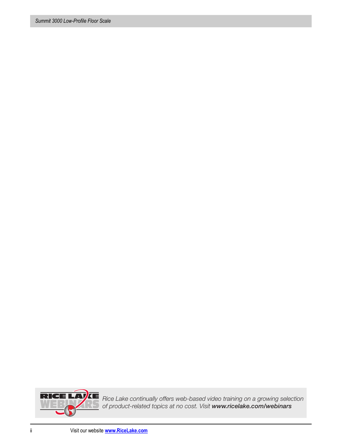

Rice Lake continually offers web-based video training on a growing selection of product-related topics at no cost. Visit *www.ricelake.com/webinars*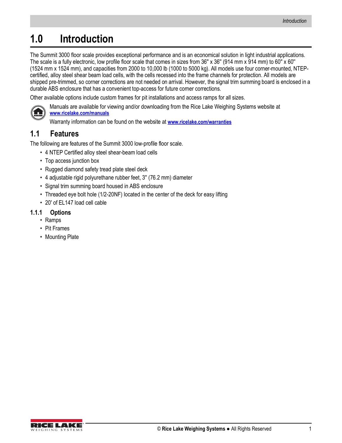# <span id="page-4-0"></span>**1.0 Introduction**

The Summit 3000 floor scale provides exceptional performance and is an economical solution in light industrial applications. The scale is a fully electronic, low profile floor scale that comes in sizes from 36" x 36" (914 mm x 914 mm) to 60" x 60" (1524 mm x 1524 mm), and capacities from 2000 to 10,000 lb (1000 to 5000 kg). All models use four corner-mounted, NTEPcertified, alloy steel shear beam load cells, with the cells recessed into the frame channels for protection. All models are shipped pre-trimmed, so corner corrections are not needed on arrival. However, the signal trim summing board is enclosed in a durable ABS enclosure that has a convenient top-access for future corner corrections.

Other available options include custom frames for pit installations and access ramps for all sizes.



Manuals are available for viewing and/or downloading from the Rice Lake Weighing Systems website at **[www.ricelake.com/manuals](http://www.ricelake.com/manuals)**

Warranty information can be found on the website at **[www.ricelake.com/warranties](http://www.ricelake.com/warranties)**

## <span id="page-4-1"></span>**1.1 Features**

The following are features of the Summit 3000 low-profile floor scale.

- 4 NTEP Certified alloy steel shear-beam load cells
- Top access junction box
- Rugged diamond safety tread plate steel deck
- 4 adjustable rigid polyurethane rubber feet, 3'' (76.2 mm) diameter
- Signal trim summing board housed in ABS enclosure
- Threaded eye bolt hole (1/2-20NF) located in the center of the deck for easy lifting
- 20' of EL147 load cell cable

#### <span id="page-4-2"></span>**1.1.1 Options**

- Ramps
- Pit Frames
- Mounting Plate

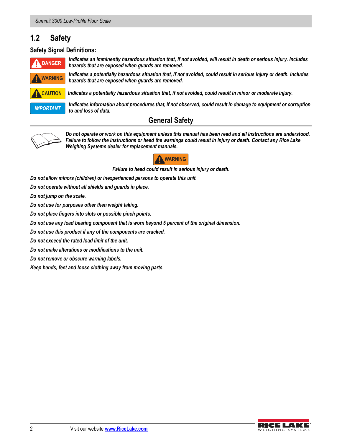#### <span id="page-5-0"></span>**1.2 Safety**

#### **Safety Signal Definitions:**



*Indicates an imminently hazardous situation that, if not avoided, will result in death or serious injury. Includes hazards that are exposed when guards are removed.*

*Indicates a potentially hazardous situation that, if not avoided, could result in serious injury or death. Includes* 

**WARNING**

 *Indicates a potentially hazardous situation that, if not avoided, could result in minor or moderate injury.* **CAUTION**



*Indicates information about procedures that, if not observed, could result in damage to equipment or corruption to and loss of data.*

#### **General Safety**



*Do not operate or work on this equipment unless this manual has been read and all instructions are understood. Failure to follow the instructions or heed the warnings could result in injury or death. Contact any Rice Lake Weighing Systems dealer for replacement manuals.* 



*Failure to heed could result in serious injury or death.*

*Do not allow minors (children) or inexperienced persons to operate this unit.*

*hazards that are exposed when guards are removed.*

*Do not operate without all shields and guards in place.*

*Do not jump on the scale.*

*Do not use for purposes other then weight taking.*

*Do not place fingers into slots or possible pinch points.*

*Do not use any load bearing component that is worn beyond 5 percent of the original dimension.*

*Do not use this product if any of the components are cracked.*

*Do not exceed the rated load limit of the unit.*

*Do not make alterations or modifications to the unit.*

*Do not remove or obscure warning labels.*

*Keep hands, feet and loose clothing away from moving parts.*

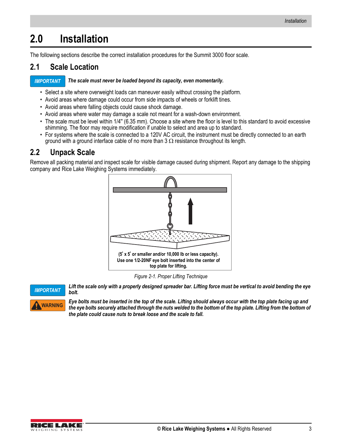# <span id="page-6-0"></span>**2.0 Installation**

The following sections describe the correct installation procedures for the Summit 3000 floor scale.

## <span id="page-6-1"></span>**2.1 Scale Location**

#### *The scale must never be loaded beyond its capacity, even momentarily. IMPORTANT*

- Select a site where overweight loads can maneuver easily without crossing the platform.
- Avoid areas where damage could occur from side impacts of wheels or forklift tines.
- Avoid areas where falling objects could cause shock damage.
- Avoid areas where water may damage a scale not meant for a wash-down environment.
- The scale must be level within 1/4'' (6.35 mm). Choose a site where the floor is level to this standard to avoid excessive shimming. The floor may require modification if unable to select and area up to standard.
- For systems where the scale is connected to a 120V AC circuit, the instrument must be directly connected to an earth ground with a ground interface cable of no more than  $3 \Omega$  resistance throughout its length.

### <span id="page-6-2"></span>**2.2 Unpack Scale**

Remove all packing material and inspect scale for visible damage caused during shipment. Report any damage to the shipping company and Rice Lake Weighing Systems immediately.



*Figure 2-1. Proper Lifting Technique*

<span id="page-6-3"></span>

*Lift the scale only with a properly designed spreader bar. Lifting force must be vertical to avoid bending the eye bolt.*

*Eye bolts must be inserted in the top of the scale. Lifting should always occur with the top plate facing up and*  the eye bolts securely attached through the nuts welded to the bottom of the top plate. Lifting from the bottom of *the plate could cause nuts to break loose and the scale to fall.*

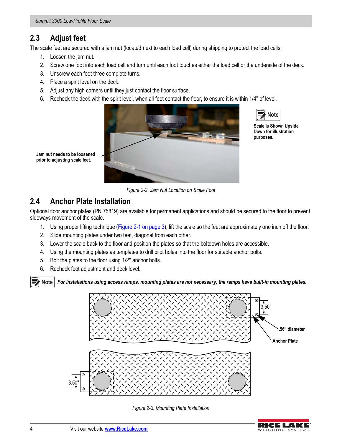# <span id="page-7-0"></span>**2.3 Adjust feet**

The scale feet are secured with a jam nut (located next to each load cell) during shipping to protect the load cells.

1. Loosen the jam nut.

**Jam nut needs to be loosened prior to adjusting scale feet.**

- 2. Screw one foot into each load cell and turn until each foot touches either the load cell or the underside of the deck.
- 3. Unscrew each foot three complete turns.
- 4. Place a spirit level on the deck.
- 5. Adjust any high corners until they just contact the floor surface.
- 6. Recheck the deck with the spirit level, when all feet contact the floor, to ensure it is within 1/4'' of level.





**Scale is Shown Upside Down for illustration purposes.** 

*Figure 2-2. Jam Nut Location on Scale Foot*

### <span id="page-7-1"></span>**2.4 Anchor Plate Installation**

Optional floor anchor plates (PN 75819) are available for permanent applications and should be secured to the floor to prevent sideways movement of the scale.

- 1. Using proper lifting technique [\(Figure 2-1 on page 3\)](#page-6-3), lift the scale so the feet are approximately one inch off the floor.
- 2. Slide mounting plates under two feet, diagonal from each other.
- 3. Lower the scale back to the floor and position the plates so that the boltdown holes are accessible.
- 4. Using the mounting plates as templates to drill pilot holes into the floor for suitable anchor bolts.
- 5. Bolt the plates to the floor using 1/2'' anchor bolts.
- 6. Recheck foot adjustment and deck level.



 *For installations using access ramps, mounting plates are not necessary, the ramps have built-in mounting plates.*





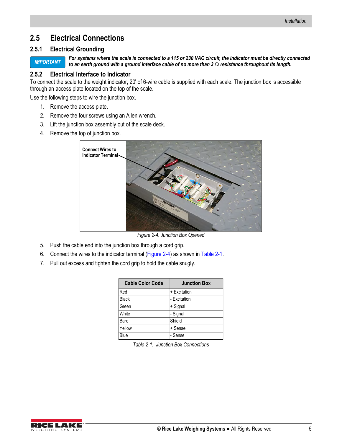#### <span id="page-8-0"></span>**2.5 Electrical Connections**

#### <span id="page-8-1"></span>**2.5.1 Electrical Grounding**

*IMPORTANT*

*For systems where the scale is connected to a 115 or 230 VAC circuit, the indicator must be directly connected to an earth ground with a ground interface cable of no more than*  $3 \Omega$  *resistance throughout its length.* 

#### <span id="page-8-2"></span>**2.5.2 Electrical Interface to Indicator**

To connect the scale to the weight indicator, 20' of 6-wire cable is supplied with each scale. The junction box is accessible through an access plate located on the top of the scale.

Use the following steps to wire the junction box.

- 1. Remove the access plate.
- 2. Remove the four screws using an Allen wrench.
- 3. Lift the junction box assembly out of the scale deck.
- 4. Remove the top of junction box.



*Figure 2-4. Junction Box Opened*

- <span id="page-8-3"></span>5. Push the cable end into the junction box through a cord grip.
- 6. Connect the wires to the indicator terminal ([Figure 2-4\)](#page-8-3) as shown in [Table 2-1](#page-8-4).
- 7. Pull out excess and tighten the cord grip to hold the cable snugly.

| <b>Cable Color Code</b> | <b>Junction Box</b> |
|-------------------------|---------------------|
| Red                     | + Excitation        |
| <b>Black</b>            | - Excitation        |
| Green                   | + Signal            |
| White                   | - Signal            |
| Bare                    | Shield              |
| Yellow                  | + Sense             |
| Blue                    | - Sense             |

*Table 2-1. Junction Box Connections*

<span id="page-8-4"></span>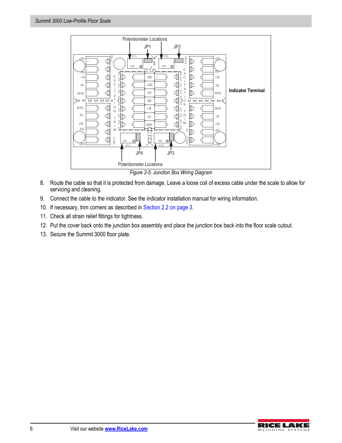

8. Route the cable so that it is protected from damage. Leave a loose coil of excess cable under the scale to allow for servicing and cleaning.

- 9. Connect the cable to the indicator. See the indicator installation manual for wiring information.
- 10. If necessary, trim corners as described in [Section 2.2 on page 3](#page-6-2).
- 11. Check all strain relief fittings for tightness.
- 12. Put the cover back onto the junction box assembly and place the junction box back into the floor scale cutout.
- 13. Secure the Summit 3000 floor plate.

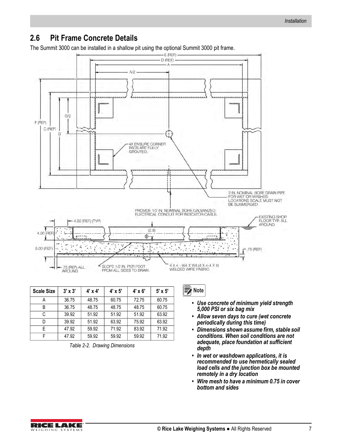## <span id="page-10-0"></span>**2.6 Pit Frame Concrete Details**

 $E$  (REF) -D (REF) Á  $A/2$  $B/2$ F (REF) C (REF) E **4X ENSURE CORNER** PADS ARE FULLY GROUTED. 2 IN, NOMINAL BORE DRAIN PIPE<br>FOR WET OR WASHED<br>LOCATIONS SCALE MUST NOT<br>BE SUBMERGED PROVIDE 1/2 IN, NOMINAL BORE GALVANIZED<br>ELECTRICAL CONDUIT FOR INDICATOR CABLE. EXISTING SHOP<br>FLOOR TYP, ALL -4.00 (REF) (TYP) **AROUND**  $(2.8)$ 4.00 (RE)  $\overline{\circ}$ 5.00 (REF) 75 (REF) 7 4 X 4 - W4 X W4 (4 X 4-4 X 4)<br>WELDED WIRE FABRIC: SLOPE 1/2 IN. PER FOOT<br>FROM ALL SIDES TO DRAIN. 75 (REF) ALL AROUND

The Summit 3000 can be installed in a shallow pit using the optional Summit 3000 pit frame.

| <b>Scale Size</b> | $3' \times 3'$ | $4' \times 4'$ | $4' \times 5'$ | $4' \times 6'$ | $5' \times 5'$ |
|-------------------|----------------|----------------|----------------|----------------|----------------|
| А                 | 36.75          | 48.75          | 60.75          | 72.75          | 60.75          |
| B                 | 36.75          | 48.75          | 48.75          | 48.75          | 60.75          |
| C                 | 39.92          | 51.92          | 51.92          | 51.92          | 63.92          |
| D                 | 39.92          | 51.92          | 63.92          | 75.92          | 63.92          |
| F                 | 47.92          | 59.92          | 71.92          | 83.92          | 71.92          |
|                   | 47.92          | 59.92          | 59.92          | 59.92          | 71.92          |

*Table 2-2. Drawing Dimensions*



- *Use concrete of minimum yield strength 5,000 PSI or six bag mix*
- *Allow seven days to cure (wet concrete periodically during this time)*
- *Dimensions shown assume firm, stable soil conditions. When soil conditions are not adequate, place foundation at sufficient depth*
- *In wet or washdown applications, it is recommended to use hermetically sealed load cells and the junction box be mounted remotely in a dry location*
- *Wire mesh to have a minimum 0.75 in cover bottom and sides*

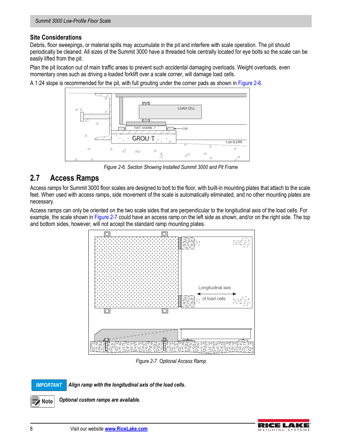#### **Site Considerations**

Debris, floor sweepings, or material spills may accumulate in the pit and interfere with scale operation. The pit should periodically be cleaned. All sizes of the Summit 3000 have a threaded hole centrally located for eye bolts so the scale can be easily lifted from the pit.

Plan the pit location out of main traffic areas to prevent such accidental damaging overloads. Weight overloads, even momentary ones such as driving a loaded forklift over a scale corner, will damage load cells.

A 1:24 slope is recommended for the pit, with full grouting under the corner pads as shown in [Figure 2-6.](#page-11-1)



*Figure 2-6. Section Showing Installed Summit 3000 and Pit Frame*

#### <span id="page-11-1"></span><span id="page-11-0"></span>**2.7 Access Ramps**

Access ramps for Summit 3000 floor scales are designed to bolt to the floor, with built-in mounting plates that attach to the scale feet. When used with access ramps, side movement of the scale is automatically eliminated, and no other mounting plates are necessary.

Access ramps can only be oriented on the two scale sides that are perpendicular to the longitudinal axis of the load cells. For example, the scale shown in [Figure 2-7](#page-11-2) could have an access ramp on the left side as shown, and/or on the right side. The top and bottom sides, however, will not accept the standard ramp mounting plates.



*Figure 2-7. Optional Access Ramp*

<span id="page-11-2"></span>*IMPORTANT*

*Align ramp with the longitudinal axis of the load cells.* 

**Note**

 *Optional custom ramps are available.* 

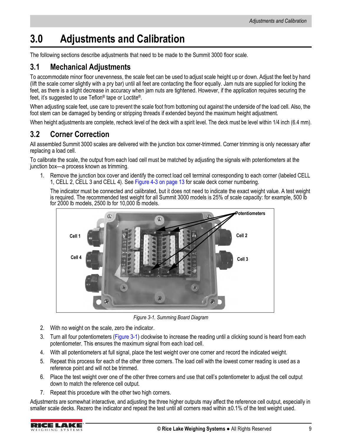# <span id="page-12-0"></span>**3.0 Adjustments and Calibration**

The following sections describe adjustments that need to be made to the Summit 3000 floor scale.

#### <span id="page-12-1"></span>**3.1 Mechanical Adjustments**

To accommodate minor floor unevenness, the scale feet can be used to adjust scale height up or down. Adjust the feet by hand (lift the scale corner slightly with a pry bar) until all feet are contacting the floor equally. Jam nuts are supplied for locking the feet, as there is a slight decrease in accuracy when jam nuts are tightened. However, if the application requires securing the feet, it's suggested to use Teflon® tape or Loctite®.

When adjusting scale feet, use care to prevent the scale foot from bottoming out against the underside of the load cell. Also, the foot stem can be damaged by bending or stripping threads if extended beyond the maximum height adjustment.

<span id="page-12-4"></span>When height adjustments are complete, recheck level of the deck with a spirit level. The deck must be level within 1/4 inch (6.4 mm).

### <span id="page-12-2"></span>**3.2 Corner Correction**

All assembled Summit 3000 scales are delivered with the junction box corner-trimmed. Corner trimming is only necessary after replacing a load cell.

To calibrate the scale, the output from each load cell must be matched by adjusting the signals with potentiometers at the junction box—a process known as trimming.

1. Remove the junction box cover and identify the correct load cell terminal corresponding to each corner (labeled CELL 1, CELL 2, CELL 3 and CELL 4). See [Figure 4-3 on page 13](#page-16-1) for scale deck corner numbering.

The indicator must be connected and calibrated, but it does not need to indicate the exact weight value. A test weight is required. The recommended test weight for all Summit 3000 models is 25% of scale capacity: for example, 500 lb for 2000 lb models, 2500 lb for 10,000 lb models.



*Figure 3-1. Summing Board Diagram*

- <span id="page-12-3"></span>2. With no weight on the scale, zero the indicator.
- 3. Turn all four potentiometers ([Figure 3-1\)](#page-12-3) clockwise to increase the reading until a clicking sound is heard from each potentiometer. This ensures the maximum signal from each load cell.
- 4. With all potentiometers at full signal, place the test weight over one corner and record the indicated weight.
- 5. Repeat this process for each of the other three corners. The load cell with the lowest corner reading is used as a reference point and will not be trimmed.
- 6. Place the test weight over one of the other three corners and use that cell's potentiometer to adjust the cell output down to match the reference cell output.
- 7. Repeat this procedure with the other two high corners.

Adjustments are somewhat interactive, and adjusting the three higher outputs may affect the reference cell output, especially in smaller scale decks. Rezero the indicator and repeat the test until all corners read within  $\pm 0.1\%$  of the test weight used.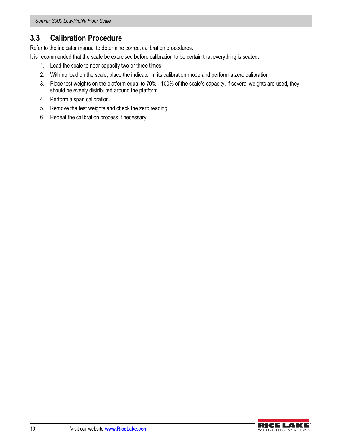## <span id="page-13-1"></span><span id="page-13-0"></span>**3.3 Calibration Procedure**

Refer to the indicator manual to determine correct calibration procedures.

It is recommended that the scale be exercised before calibration to be certain that everything is seated.

- 1. Load the scale to near capacity two or three times.
- 2. With no load on the scale, place the indicator in its calibration mode and perform a zero calibration.
- 3. Place test weights on the platform equal to 70% 100% of the scale's capacity. If several weights are used, they should be evenly distributed around the platform.
- 4. Perform a span calibration.
- 5. Remove the test weights and check the zero reading.
- 6. Repeat the calibration process if necessary.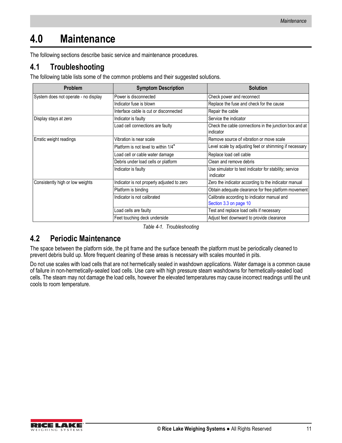# <span id="page-14-0"></span>**4.0 Maintenance**

The following sections describe basic service and maintenance procedures.

## <span id="page-14-1"></span>**4.1 Troubleshooting**

The following table lists some of the common problems and their suggested solutions.

| Problem                              | <b>Symptom Description</b>                 | <b>Solution</b>                                                       |
|--------------------------------------|--------------------------------------------|-----------------------------------------------------------------------|
| System does not operate - no display | Power is disconnected                      | Check power and reconnect                                             |
|                                      | Indicator fuse is blown                    | Replace the fuse and check for the cause                              |
|                                      | Interface cable is cut or disconnected     | Repair the cable                                                      |
| Display stays at zero                | Indicator is faulty                        | Service the indicator                                                 |
|                                      | Load cell connections are faulty           | Check the cable connections in the junction box and at<br>indicator   |
| Erratic weight readings              | Vibration is near scale                    | Remove source of vibration or move scale                              |
|                                      | Platform is not level to within 1/4"       | Level scale by adjusting feet or shimming if necessary                |
|                                      | Load cell or cable water damage            | Replace load cell cable                                               |
|                                      | Debris under load cells or platform        | Clean and remove debris                                               |
|                                      | Indicator is faulty                        | Use simulator to test indicator for stability; service<br>indicator   |
| Consistently high or low weights     | Indicator is not properly adjusted to zero | Zero the indicator according to the indicator manual                  |
|                                      | Platform is binding                        | Obtain adequate clearance for free platform movement                  |
|                                      | Indicator is not calibrated                | Calibrate according to indicator manual and<br>Section 3.3 on page 10 |
|                                      | Load cells are faulty                      | Test and replace load cells if necessary                              |
|                                      | Feet touching deck underside               | Adjust feet downward to provide clearance                             |

*Table 4-1. Troubleshooting* 

## <span id="page-14-2"></span>**4.2 Periodic Maintenance**

The space between the platform side, the pit frame and the surface beneath the platform must be periodically cleaned to prevent debris build up. More frequent cleaning of these areas is necessary with scales mounted in pits.

Do not use scales with load cells that are not hermetically sealed in washdown applications. Water damage is a common cause of failure in non-hermetically-sealed load cells. Use care with high pressure steam washdowns for hermetically-sealed load cells. The steam may not damage the load cells, however the elevated temperatures may cause incorrect readings until the unit cools to room temperature.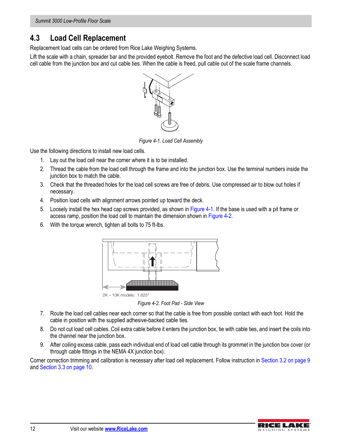*Summit 3000 Low-Profile Floor Scale*

### <span id="page-15-0"></span>**4.3 Load Cell Replacement**

Replacement load cells can be ordered from Rice Lake Weighing Systems.

Lift the scale with a chain, spreader bar and the provided eyebolt. Remove the foot and the defective load cell. Disconnect load cell cable from the junction box and cut cable ties. When the cable is freed, pull cable out of the scale frame channels.



*Figure 4-1. Load Cell Assembly*

<span id="page-15-1"></span>Use the following directions to install new load cells.

- 1. Lay out the load cell near the corner where it is to be installed.
- 2. Thread the cable from the load cell through the frame and into the junction box. Use the terminal numbers inside the junction box to match the cable.
- 3. Check that the threaded holes for the load cell screws are free of debris. Use compressed air to blow out holes if necessary.
- 4. Position load cells with alignment arrows pointed up toward the deck.
- 5. Loosely install the hex head cap screws provided, as shown in [Figure 4-1.](#page-15-1) If the base is used with a pit frame or access ramp, position the load cell to maintain the dimension shown in [Figure 4-2](#page-15-2).
- 6. With the torque wrench, tighten all bolts to 75 ft-lbs.



*Figure 4-2. Foot Pad - Side View*

- <span id="page-15-2"></span>7. Route the load cell cables near each corner so that the cable is free from possible contact with each foot. Hold the cable in position with the supplied adhesive-backed cable ties.
- 8. Do not cut load cell cables. Coil extra cable before it enters the junction box, tie with cable ties, and insert the coils into the channel near the junction box.
- 9. After coiling excess cable, pass each individual end of load cell cable through its grommet in the junction box cover (or through cable fittings in the NEMA 4X junction box).

Corner correction trimming and calibration is necessary after load cell replacement. Follow instruction in [Section 3.2 on page 9](#page-12-4) and [Section 3.3 on page 10](#page-13-1).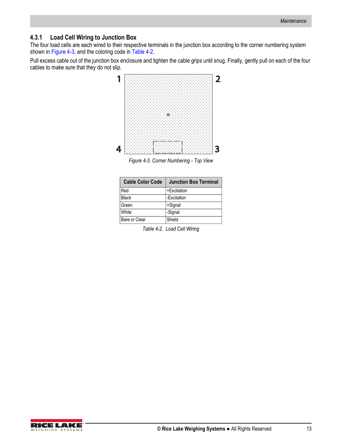#### <span id="page-16-0"></span>**4.3.1 Load Cell Wiring to Junction Box**

The four load cells are each wired to their respective terminals in the junction box according to the corner numbering system shown in [Figure 4-3](#page-16-2), and the coloring code in [Table 4-2](#page-16-3).

Pull excess cable out of the junction box enclosure and tighten the cable grips until snug. Finally, gently pull on each of the four cables to make sure that they do not slip.



<span id="page-16-1"></span>*Figure 4-3. Corner Numbering - Top View*

<span id="page-16-3"></span><span id="page-16-2"></span>

| <b>Cable Color Code</b> | <b>Junction Box Terminal</b> |
|-------------------------|------------------------------|
| Red                     | +Excitation                  |
| Black                   | -Excitation                  |
| Green                   | +Signal                      |
| White                   | -Signal                      |
| Bare or Clear           | Shield                       |

*Table 4-2. Load Cell Wiring*

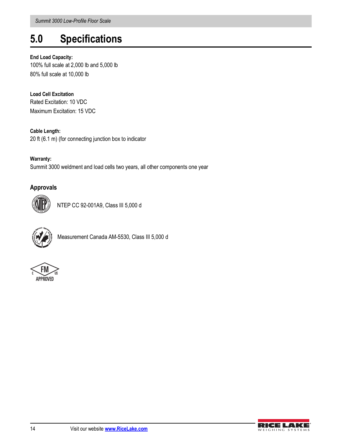# <span id="page-17-0"></span>**5.0 Specifications**

#### **End Load Capacity:**

100% full scale at 2,000 lb and 5,000 lb 80% full scale at 10,000 lb

**Load Cell Excitation** Rated Excitation: 10 VDC Maximum Excitation: 15 VDC

**Cable Length:**  20 ft (6.1 m) (for connecting junction box to indicator

**Warranty:** Summit 3000 weldment and load cells two years, all other components one year

#### **Approvals**



NTEP CC 92-001A9, Class III 5,000 d



Measurement Canada AM-5530, Class III 5,000 d